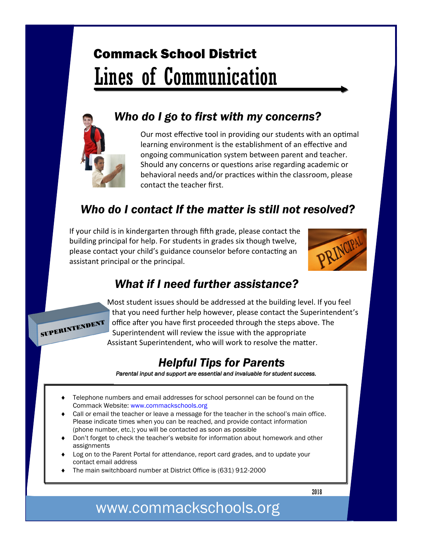# Commack School District Lines of Communication



### *Who do I go to first with my concerns?*

Our most effective tool in providing our students with an optimal learning environment is the establishment of an effective and ongoing communication system between parent and teacher. Should any concerns or questions arise regarding academic or behavioral needs and/or practices within the classroom, please contact the teacher first.

### *Who do I contact If the matter is still not resolved?*

If your child is in kindergarten through fifth grade, please contact the building principal for help. For students in grades six though twelve, please contact your child's guidance counselor before contacting an assistant principal or the principal.



### *What if I need further assistance?*



Most student issues should be addressed at the building level. If you feel that you need further help however, please contact the Superintendent's office after you have first proceeded through the steps above. The Superintendent will review the issue with the appropriate Assistant Superintendent, who will work to resolve the matter.

### *Helpful Tips for Parents*

*Parental input and support are essential and invaluable for student success.* 

- Telephone numbers and email addresses for school personnel can be found on the Commack Website: www.commackschools.org
- Call or email the teacher or leave a message for the teacher in the school's main office. Please indicate times when you can be reached, and provide contact information (phone number, etc.); you will be contacted as soon as possible
- Don't forget to check the teacher's website for information about homework and other assignments
- Log on to the Parent Portal for attendance, report card grades, and to update your contact email address
- The main switchboard number at District Office is (631) 912-2000

2018

## www.commackschools.org